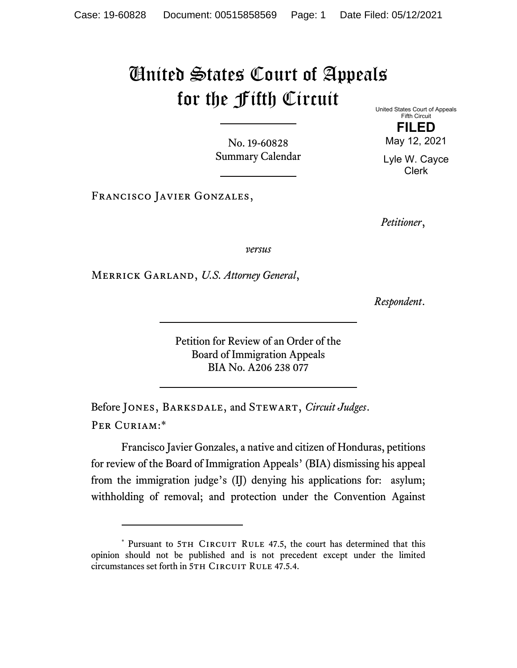## United States Court of Appeals for the Fifth Circuit

No. 19-60828 Summary Calendar United States Court of Appeals Fifth Circuit

> **FILED**  May 12, 2021

Lyle W. Cayce Clerk

Francisco Javier Gonzales,

*Petitioner*,

*versus*

Merrick Garland, *U.S. Attorney General*,

*Respondent*.

Petition for Review of an Order of the Board of Immigration Appeals BIA No. A206 238 077

Before Jones, Barksdale, and Stewart, *Circuit Judges*. Per Curiam:\*

Francisco Javier Gonzales, a native and citizen of Honduras, petitions for review of the Board of Immigration Appeals' (BIA) dismissing his appeal from the immigration judge's (IJ) denying his applications for: asylum; withholding of removal; and protection under the Convention Against

<sup>\*</sup> Pursuant to 5TH CIRCUIT RULE 47.5, the court has determined that this opinion should not be published and is not precedent except under the limited circumstances set forth in 5TH CIRCUIT RULE 47.5.4.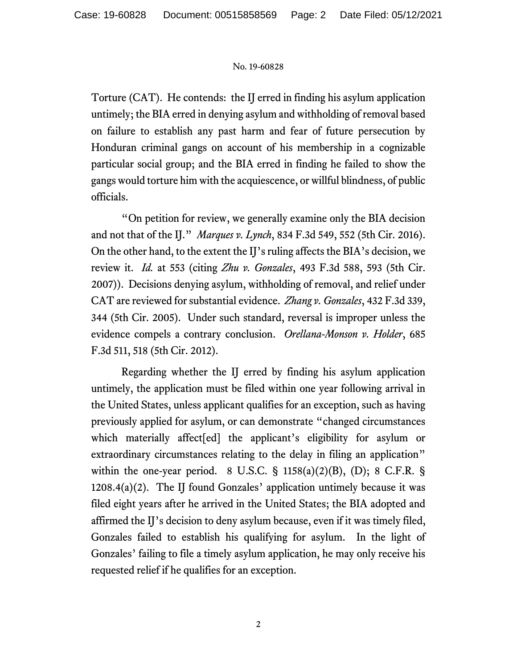## No. 19-60828

Torture (CAT). He contends: the IJ erred in finding his asylum application untimely; the BIA erred in denying asylum and withholding of removal based on failure to establish any past harm and fear of future persecution by Honduran criminal gangs on account of his membership in a cognizable particular social group; and the BIA erred in finding he failed to show the gangs would torture him with the acquiescence, or willful blindness, of public officials.

"On petition for review, we generally examine only the BIA decision and not that of the IJ." *Marques v. Lynch*, 834 F.3d 549, 552 (5th Cir. 2016). On the other hand, to the extent the IJ's ruling affects the BIA's decision, we review it. *Id.* at 553 (citing *Zhu v. Gonzales*, 493 F.3d 588, 593 (5th Cir. 2007)). Decisions denying asylum, withholding of removal, and relief under CAT are reviewed for substantial evidence. *Zhang v. Gonzales*, 432 F.3d 339, 344 (5th Cir. 2005). Under such standard, reversal is improper unless the evidence compels a contrary conclusion. *Orellana-Monson v. Holder*, 685 F.3d 511, 518 (5th Cir. 2012).

Regarding whether the IJ erred by finding his asylum application untimely, the application must be filed within one year following arrival in the United States, unless applicant qualifies for an exception, such as having previously applied for asylum, or can demonstrate "changed circumstances which materially affect[ed] the applicant's eligibility for asylum or extraordinary circumstances relating to the delay in filing an application" within the one-year period. 8 U.S.C.  $\S$  1158(a)(2)(B), (D); 8 C.F.R.  $\S$  $1208.4(a)(2)$ . The IJ found Gonzales' application untimely because it was filed eight years after he arrived in the United States; the BIA adopted and affirmed the IJ's decision to deny asylum because, even if it was timely filed, Gonzales failed to establish his qualifying for asylum. In the light of Gonzales' failing to file a timely asylum application, he may only receive his requested relief if he qualifies for an exception.